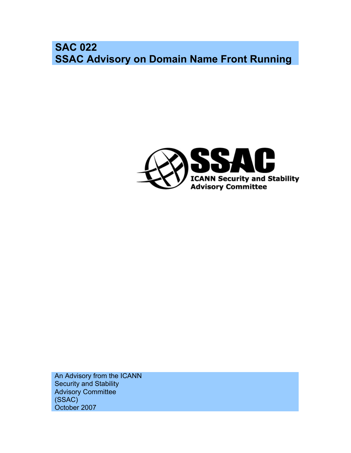**SAC 022 SSAC Advisory on Domain Name Front Running**



An Advisory from the ICANN Security and Stability Advisory Committee (SSAC) October 2007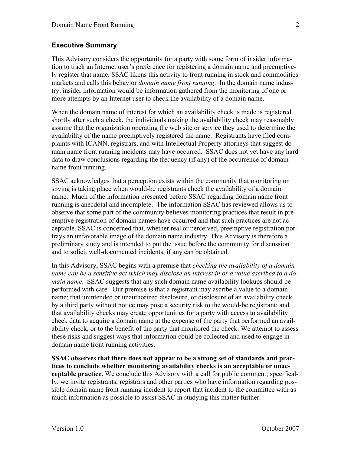#### **Executive Summary**

This Advisory considers the opportunity for a party with some form of insider information to track an Internet user's preference for registering a domain name and preemptively register that name. SSAC likens this activity to front running in stock and commodities markets and calls this behavior *domain name front running*. In the domain name industry, insider information would be information gathered from the monitoring of one or more attempts by an Internet user to check the availability of a domain name.

When the domain name of interest for which an availability check is made is registered shortly after such a check, the individuals making the availability check may reasonably assume that the organization operating the web site or service they used to determine the availability of the name preemptively registered the name. Registrants have filed complaints with ICANN, registrars, and with Intellectual Property attorneys that suggest domain name front running incidents may have occurred. SSAC does not yet have any hard data to draw conclusions regarding the frequency (if any) of the occurrence of domain name front running.

SSAC acknowledges that a perception exists within the community that monitoring or spying is taking place when would-be registrants check the availability of a domain name. Much of the information presented before SSAC regarding domain name front running is anecdotal and incomplete. The information SSAC has reviewed allows us to observe that some part of the community believes monitoring practices that result in preemptive registration of domain names have occurred and that such practices are not acceptable. SSAC is concerned that, whether real or perceived, preemptive registration portrays an unfavorable image of the domain name industry. This Advisory is therefore a preliminary study and is intended to put the issue before the community for discussion and to solicit well-documented incidents, if any can be obtained.

In this Advisory, SSAC begins with a premise that *checking the availability of a domain name can be a sensitive act which may disclose an interest in or a value ascribed to a domain name*. SSAC suggests that any such domain name availability lookups should be performed with care. Our premise is that a registrant may ascribe a value to a domain name; that unintended or unauthorized disclosure, or disclosure of an availability check by a third party without notice may pose a security risk to the would-be registrant; and that availability checks may create opportunities for a party with access to availability check data to acquire a domain name at the expense of the party that performed an availability check, or to the benefit of the party that monitored the check. We attempt to assess these risks and suggest ways that information could be collected and used to engage in domain name front running activities.

**SSAC observes that there does not appear to be a strong set of standards and practices to conclude whether monitoring availability checks is an acceptable or unacceptable practice.** We conclude this Advisory with a call for public comment; specifically, we invite registrants, registrars and other parties who have information regarding possible domain name front running incident to report that incident to the committee with as much information as possible to assist SSAC in studying this matter further.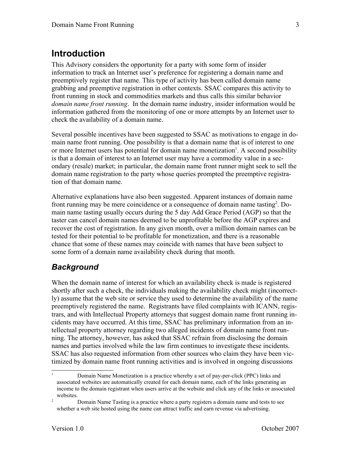#### **Introduction**

This Advisory considers the opportunity for a party with some form of insider information to track an Internet user's preference for registering a domain name and preemptively register that name. This type of activity has been called domain name grabbing and preemptive registration in other contexts. SSAC compares this activity to front running in stock and commodities markets and thus calls this similar behavior *domain name front running*. In the domain name industry, insider information would be information gathered from the monitoring of one or more attempts by an Internet user to check the availability of a domain name.

Several possible incentives have been suggested to SSAC as motivations to engage in domain name front running. One possibility is that a domain name that is of interest to one or more Internet users has potential for domain name monetization<sup>[1](#page-2-0)</sup>. A second possibility is that a domain of interest to an Internet user may have a commodity value in a secondary (resale) market; in particular, the domain name front runner might seek to sell the domain name registration to the party whose queries prompted the preemptive registration of that domain name.

Alternative explanations have also been suggested. Apparent instances of domain name front running may be mere coincidence or a consequence of domain name tasting<sup>[2](#page-2-1)</sup>. Domain name tasting usually occurs during the 5 day Add Grace Period (AGP) so that the taster can cancel domain names deemed to be unprofitable before the AGP expires and recover the cost of registration. In any given month, over a million domain names can be tested for their potential to be profitable for monetization, and there is a reasonable chance that some of these names may coincide with names that have been subject to some form of a domain name availability check during that month.

#### *Background*

When the domain name of interest for which an availability check is made is registered shortly after such a check, the individuals making the availability check might (incorrectly) assume that the web site or service they used to determine the availability of the name preemptively registered the name. Registrants have filed complaints with ICANN, registrars, and with Intellectual Property attorneys that suggest domain name front running incidents may have occurred. At this time, SSAC has preliminary information from an intellectual property attorney regarding two alleged incidents of domain name front running. The attorney, however, has asked that SSAC refrain from disclosing the domain names and parties involved while the law firm continues to investigate these incidents. SSAC has also requested information from other sources who claim they have been victimized by domain name front running activities and is involved in ongoing discussions

<span id="page-2-0"></span><sup>1</sup> Domain Name Monetization is a practice whereby a set of pay-per-click (PPC) links and associated websites are automatically created for each domain name, each of the links generating an income to the domain registrant when users arrive at the website and click any of the links or associated websites.

<span id="page-2-1"></span><sup>&</sup>lt;sup>2</sup> Domain Name Tasting is a practice where a party registers a domain name and tests to see whether a web site hosted using the name can attract traffic and earn revenue via advertising.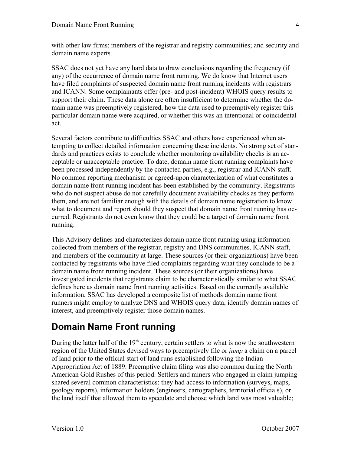with other law firms; members of the registrar and registry communities; and security and domain name experts.

SSAC does not yet have any hard data to draw conclusions regarding the frequency (if any) of the occurrence of domain name front running. We do know that Internet users have filed complaints of suspected domain name front running incidents with registrars and ICANN. Some complainants offer (pre- and post-incident) WHOIS query results to support their claim. These data alone are often insufficient to determine whether the domain name was preemptively registered, how the data used to preemptively register this particular domain name were acquired, or whether this was an intentional or coincidental act.

Several factors contribute to difficulties SSAC and others have experienced when attempting to collect detailed information concerning these incidents. No strong set of standards and practices exists to conclude whether monitoring availability checks is an acceptable or unacceptable practice. To date, domain name front running complaints have been processed independently by the contacted parties, e.g., registrar and ICANN staff. No common reporting mechanism or agreed-upon characterization of what constitutes a domain name front running incident has been established by the community. Registrants who do not suspect abuse do not carefully document availability checks as they perform them, and are not familiar enough with the details of domain name registration to know what to document and report should they suspect that domain name front running has occurred. Registrants do not even know that they could be a target of domain name front running.

This Advisory defines and characterizes domain name front running using information collected from members of the registrar, registry and DNS communities, ICANN staff, and members of the community at large. These sources (or their organizations) have been contacted by registrants who have filed complaints regarding what they conclude to be a domain name front running incident. These sources (or their organizations) have investigated incidents that registrants claim to be characteristically similar to what SSAC defines here as domain name front running activities. Based on the currently available information, SSAC has developed a composite list of methods domain name front runners might employ to analyze DNS and WHOIS query data, identify domain names of interest, and preemptively register those domain names.

# **Domain Name Front running**

During the latter half of the  $19<sup>th</sup>$  century, certain settlers to what is now the southwestern region of the United States devised ways to preemptively file or *jump* a claim on a parcel of land prior to the official start of land runs established following the Indian Appropriation Act of 1889. Preemptive claim filing was also common during the North American Gold Rushes of this period. Settlers and miners who engaged in claim jumping shared several common characteristics: they had access to information (surveys, maps, geology reports), information holders (engineers, cartographers, territorial officials), or the land itself that allowed them to speculate and choose which land was most valuable;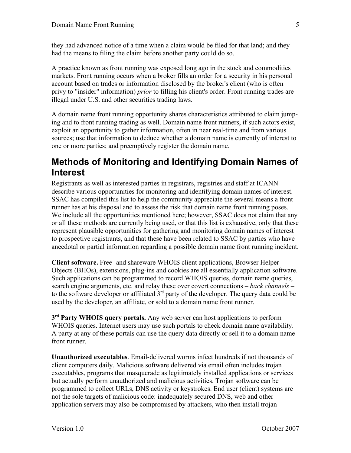they had advanced notice of a time when a claim would be filed for that land; and they had the means to filing the claim before another party could do so.

A practice known as front running was exposed long ago in the stock and commodities markets. Front running occurs when a broker fills an order for a security in his personal account based on trades or information disclosed by the broker's client (who is often privy to "insider" information) *prior* to filling his client's order. Front running trades are illegal under U.S. and other securities trading laws.

A domain name front running opportunity shares characteristics attributed to claim jumping and to front running trading as well. Domain name front runners, if such actors exist, exploit an opportunity to gather information, often in near real-time and from various sources; use that information to deduce whether a domain name is currently of interest to one or more parties; and preemptively register the domain name.

#### **Methods of Monitoring and Identifying Domain Names of Interest**

Registrants as well as interested parties in registrars, registries and staff at ICANN describe various opportunities for monitoring and identifying domain names of interest. SSAC has compiled this list to help the community appreciate the several means a front runner has at his disposal and to assess the risk that domain name front running poses. We include all the opportunities mentioned here; however, SSAC does not claim that any or all these methods are currently being used, or that this list is exhaustive, only that these represent plausible opportunities for gathering and monitoring domain names of interest to prospective registrants, and that these have been related to SSAC by parties who have anecdotal or partial information regarding a possible domain name front running incident.

**Client software.** Free- and shareware WHOIS client applications, Browser Helper Objects (BHOs), extensions, plug-ins and cookies are all essentially application software. Such applications can be programmed to record WHOIS queries, domain name queries, search engine arguments, etc. and relay these over covert connections – *back channels –* to the software developer or affiliated  $3<sup>rd</sup>$  party of the developer. The query data could be used by the developer, an affiliate, or sold to a domain name front runner.

**3 rd Party WHOIS query portals.** Any web server can host applications to perform WHOIS queries. Internet users may use such portals to check domain name availability. A party at any of these portals can use the query data directly or sell it to a domain name front runner.

**Unauthorized executables**. Email-delivered worms infect hundreds if not thousands of client computers daily. Malicious software delivered via email often includes trojan executables, programs that masquerade as legitimately installed applications or services but actually perform unauthorized and malicious activities. Trojan software can be programmed to collect URLs, DNS activity or keystrokes. End user (client) systems are not the sole targets of malicious code: inadequately secured DNS, web and other application servers may also be compromised by attackers, who then install trojan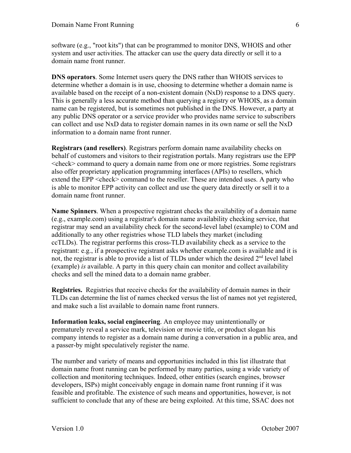software (e.g., "root kits") that can be programmed to monitor DNS, WHOIS and other system and user activities. The attacker can use the query data directly or sell it to a domain name front runner.

**DNS operators**. Some Internet users query the DNS rather than WHOIS services to determine whether a domain is in use, choosing to determine whether a domain name is available based on the receipt of a non-existent domain (NxD) response to a DNS query. This is generally a less accurate method than querying a registry or WHOIS, as a domain name can be registered, but is sometimes not published in the DNS. However, a party at any public DNS operator or a service provider who provides name service to subscribers can collect and use NxD data to register domain names in its own name or sell the NxD information to a domain name front runner.

**Registrars (and resellers)**. Registrars perform domain name availability checks on behalf of customers and visitors to their registration portals. Many registrars use the EPP <check> command to query a domain name from one or more registries. Some registrars also offer proprietary application programming interfaces (APIs) to resellers, which extend the EPP <check> command to the reseller. These are intended uses. A party who is able to monitor EPP activity can collect and use the query data directly or sell it to a domain name front runner.

**Name Spinners**. When a prospective registrant checks the availability of a domain name (e.g., example.com) using a registrar's domain name availability checking service, that registrar may send an availability check for the second-level label (example) to COM and additionally to any other registries whose TLD labels they market (including ccTLDs). The registrar performs this cross-TLD availability check as a service to the registrant: e.g., if a prospective registrant asks whether example.com is available and it is not, the registrar is able to provide a list of TLDs under which the desired 2<sup>nd</sup> level label (example) *is* available. A party in this query chain can monitor and collect availability checks and sell the mined data to a domain name grabber.

**Registries.** Registries that receive checks for the availability of domain names in their TLDs can determine the list of names checked versus the list of names not yet registered, and make such a list available to domain name front runners.

**Information leaks, social engineering**. An employee may unintentionally or prematurely reveal a service mark, television or movie title, or product slogan his company intends to register as a domain name during a conversation in a public area, and a passer-by might speculatively register the name.

The number and variety of means and opportunities included in this list illustrate that domain name front running can be performed by many parties, using a wide variety of collection and monitoring techniques. Indeed, other entities (search engines, browser developers, ISPs) might conceivably engage in domain name front running if it was feasible and profitable. The existence of such means and opportunities, however, is not sufficient to conclude that any of these are being exploited. At this time, SSAC does not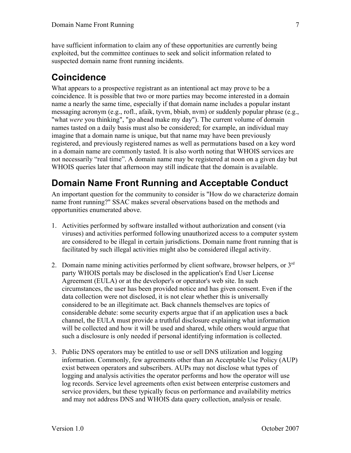have sufficient information to claim any of these opportunities are currently being exploited, but the committee continues to seek and solicit information related to suspected domain name front running incidents.

#### **Coincidence**

What appears to a prospective registrant as an intentional act may prove to be a coincidence. It is possible that two or more parties may become interested in a domain name a nearly the same time, especially if that domain name includes a popular instant messaging acronym (e.g., rofl., afaik, tyvm, bbiab, nvm) or suddenly popular phrase (e.g., "what *were* you thinking", "go ahead make my day"). The current volume of domain names tasted on a daily basis must also be considered; for example, an individual may imagine that a domain name is unique, but that name may have been previously registered, and previously registered names as well as permutations based on a key word in a domain name are commonly tasted. It is also worth noting that WHOIS services are not necessarily "real time". A domain name may be registered at noon on a given day but WHOIS queries later that afternoon may still indicate that the domain is available.

#### **Domain Name Front Running and Acceptable Conduct**

An important question for the community to consider is "How do we characterize domain name front running?" SSAC makes several observations based on the methods and opportunities enumerated above.

- 1. Activities performed by software installed without authorization and consent (via viruses) and activities performed following unauthorized access to a computer system are considered to be illegal in certain jurisdictions. Domain name front running that is facilitated by such illegal activities might also be considered illegal activity.
- 2. Domain name mining activities performed by client software, browser helpers, or  $3<sup>rd</sup>$ party WHOIS portals may be disclosed in the application's End User License Agreement (EULA) or at the developer's or operator's web site. In such circumstances, the user has been provided notice and has given consent. Even if the data collection were not disclosed, it is not clear whether this is universally considered to be an illegitimate act. Back channels themselves are topics of considerable debate: some security experts argue that if an application uses a back channel, the EULA must provide a truthful disclosure explaining what information will be collected and how it will be used and shared, while others would argue that such a disclosure is only needed if personal identifying information is collected.
- 3. Public DNS operators may be entitled to use or sell DNS utilization and logging information. Commonly, few agreements other than an Acceptable Use Policy (AUP) exist between operators and subscribers. AUPs may not disclose what types of logging and analysis activities the operator performs and how the operator will use log records. Service level agreements often exist between enterprise customers and service providers, but these typically focus on performance and availability metrics and may not address DNS and WHOIS data query collection, analysis or resale.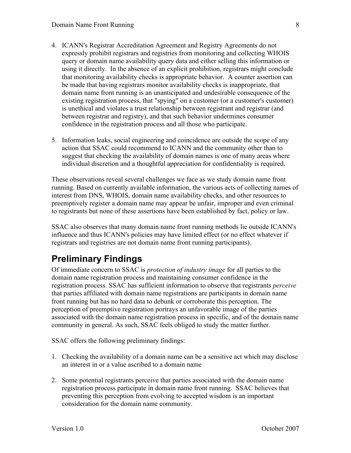- 4. ICANN's Registrar Accreditation Agreement and Registry Agreements do not expressly prohibit registrars and registries from monitoring and collecting WHOIS query or domain name availability query data and either selling this information or using it directly. In the absence of an explicit prohibition, registrars might conclude that monitoring availability checks is appropriate behavior. A counter assertion can be made that having registrars monitor availability checks is inappropriate, that domain name front running is an unanticipated and undesirable consequence of the existing registration process, that "spying" on a customer (or a customer's customer) is unethical and violates a trust relationship between registrant and registrar (and between registrar and registry), and that such behavior undermines consumer confidence in the registration process and all those who participate.
- 5. Information leaks, social engineering and coincidence are outside the scope of any action that SSAC could recommend to ICANN and the community other than to suggest that checking the availability of domain names is one of many areas where individual discretion and a thoughtful appreciation for confidentiality is required.

These observations reveal several challenges we face as we study domain name front running. Based on currently available information, the various acts of collecting names of interest from DNS, WHOIS, domain name availability checks, and other resources to preemptively register a domain name may appear be unfair, improper and even criminal to registrants but none of these assertions have been established by fact, policy or law.

SSAC also observes that many domain name front running methods lie outside ICANN's influence and thus ICANN's policies may have limited effect (or no effect whatever if registrars and registries are not domain name front running participants).

# **Preliminary Findings**

Of immediate concern to SSAC is *protection of industry image* for all parties to the domain name registration process and maintaining consumer confidence in the registration process. SSAC has sufficient information to observe that registrants *perceive* that parties affiliated with domain name registrations are participants in domain name front running but has no hard data to debunk or corroborate this perception. The perception of preemptive registration portrays an unfavorable image of the parties associated with the domain name registration process in specific, and of the domain name community in general. As such, SSAC feels obliged to study the matter further.

SSAC offers the following preliminary findings:

- 1. Checking the availability of a domain name can be a sensitive act which may disclose an interest in or a value ascribed to a domain name
- 2. Some potential registrants perceive that parties associated with the domain name registration process participate in domain name front running. SSAC believes that preventing this perception from evolving to accepted wisdom is an important consideration for the domain name community.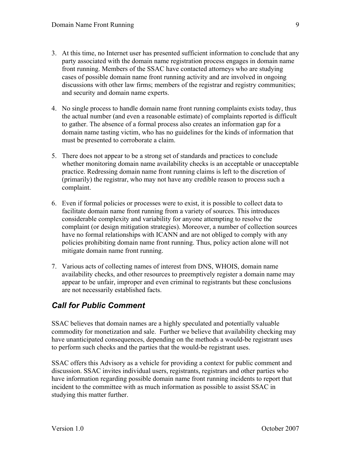- 3. At this time, no Internet user has presented sufficient information to conclude that any party associated with the domain name registration process engages in domain name front running. Members of the SSAC have contacted attorneys who are studying cases of possible domain name front running activity and are involved in ongoing discussions with other law firms; members of the registrar and registry communities; and security and domain name experts.
- 4. No single process to handle domain name front running complaints exists today, thus the actual number (and even a reasonable estimate) of complaints reported is difficult to gather. The absence of a formal process also creates an information gap for a domain name tasting victim, who has no guidelines for the kinds of information that must be presented to corroborate a claim.
- 5. There does not appear to be a strong set of standards and practices to conclude whether monitoring domain name availability checks is an acceptable or unacceptable practice. Redressing domain name front running claims is left to the discretion of (primarily) the registrar, who may not have any credible reason to process such a complaint.
- 6. Even if formal policies or processes were to exist, it is possible to collect data to facilitate domain name front running from a variety of sources. This introduces considerable complexity and variability for anyone attempting to resolve the complaint (or design mitigation strategies). Moreover, a number of collection sources have no formal relationships with ICANN and are not obliged to comply with any policies prohibiting domain name front running. Thus, policy action alone will not mitigate domain name front running.
- 7. Various acts of collecting names of interest from DNS, WHOIS, domain name availability checks, and other resources to preemptively register a domain name may appear to be unfair, improper and even criminal to registrants but these conclusions are not necessarily established facts.

#### *Call for Public Comment*

SSAC believes that domain names are a highly speculated and potentially valuable commodity for monetization and sale. Further we believe that availability checking may have unanticipated consequences, depending on the methods a would-be registrant uses to perform such checks and the parties that the would-be registrant uses.

SSAC offers this Advisory as a vehicle for providing a context for public comment and discussion. SSAC invites individual users, registrants, registrars and other parties who have information regarding possible domain name front running incidents to report that incident to the committee with as much information as possible to assist SSAC in studying this matter further.